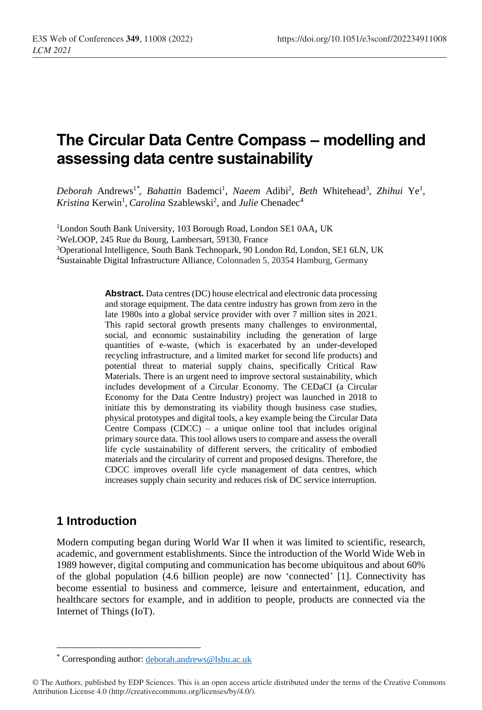# **The Circular Data Centre Compass – modelling and assessing data centre sustainability**

Deborah Andrews<sup>1\*</sup>, Bahattin Bademci<sup>1</sup>, Naeem Adibi<sup>2</sup>, Beth Whitehead<sup>3</sup>, Zhihui Ye<sup>1</sup>, Kristina Kerwin<sup>1</sup>, *Carolina* Szablewski<sup>2</sup>, and *Julie* Chenadec<sup>4</sup>

<sup>1</sup>London South Bank University, 103 Borough Road, London SE1 0AA, UK WeLOOP, 245 Rue du Bourg, Lambersart, 59130, France Operational Intelligence, South Bank Technopark, 90 London Rd, London, SE1 6LN, UK Sustainable Digital Infrastructure Alliance, Colonnaden 5, 20354 Hamburg, Germany

> **Abstract.** Data centres (DC) house electrical and electronic data processing and storage equipment. The data centre industry has grown from zero in the late 1980s into a global service provider with over 7 million sites in 2021. This rapid sectoral growth presents many challenges to environmental, social, and economic sustainability including the generation of large quantities of e-waste, (which is exacerbated by an under-developed recycling infrastructure, and a limited market for second life products) and potential threat to material supply chains, specifically Critical Raw Materials. There is an urgent need to improve sectoral sustainability, which includes development of a Circular Economy. The CEDaCI (a Circular Economy for the Data Centre Industry) project was launched in 2018 to initiate this by demonstrating its viability though business case studies, physical prototypes and digital tools, a key example being the Circular Data Centre Compass (CDCC) – a unique online tool that includes original primary source data. This tool allows users to compare and assess the overall life cycle sustainability of different servers, the criticality of embodied materials and the circularity of current and proposed designs. Therefore, the CDCC improves overall life cycle management of data centres, which increases supply chain security and reduces risk of DC service interruption.

## **1 Introduction**

 $\overline{a}$ 

Modern computing began during World War II when it was limited to scientific, research, academic, and government establishments. Since the introduction of the World Wide Web in 1989 however, digital computing and communication has become ubiquitous and about 60% of the global population (4.6 billion people) are now 'connected' [1]. Connectivity has become essential to business and commerce, leisure and entertainment, education, and healthcare sectors for example, and in addition to people, products are connected via the Internet of Things (IoT).

<sup>\*</sup> Corresponding author: deborah.andrews@lsbu.ac.uk

<sup>©</sup> The Authors, published by EDP Sciences. This is an open access article distributed under the terms of the Creative Commons Attribution License 4.0 (http://creativecommons.org/licenses/by/4.0/).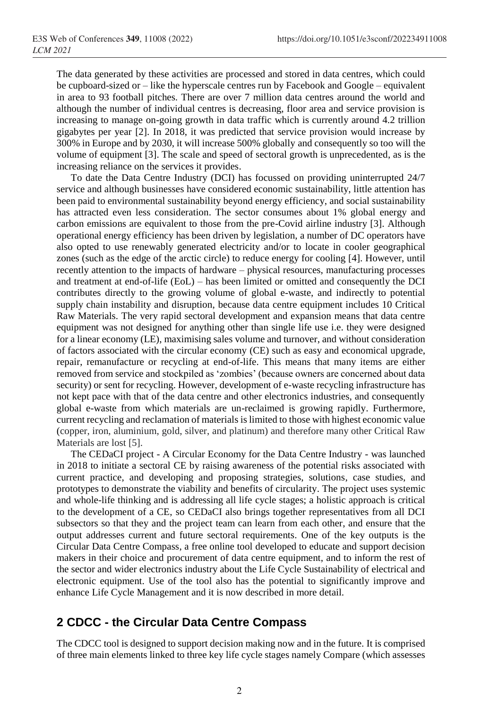The data generated by these activities are processed and stored in data centres, which could be cupboard-sized or – like the hyperscale centres run by Facebook and Google – equivalent in area to 93 football pitches. There are over 7 million data centres around the world and although the number of individual centres is decreasing, floor area and service provision is increasing to manage on-going growth in data traffic which is currently around 4.2 trillion gigabytes per year [2]. In 2018, it was predicted that service provision would increase by 300% in Europe and by 2030, it will increase 500% globally and consequently so too will the volume of equipment [3]. The scale and speed of sectoral growth is unprecedented, as is the increasing reliance on the services it provides.

To date the Data Centre Industry (DCI) has focussed on providing uninterrupted 24/7 service and although businesses have considered economic sustainability, little attention has been paid to environmental sustainability beyond energy efficiency, and social sustainability has attracted even less consideration. The sector consumes about 1% global energy and carbon emissions are equivalent to those from the pre-Covid airline industry [3]. Although operational energy efficiency has been driven by legislation, a number of DC operators have also opted to use renewably generated electricity and/or to locate in cooler geographical zones (such as the edge of the arctic circle) to reduce energy for cooling [4]. However, until recently attention to the impacts of hardware – physical resources, manufacturing processes and treatment at end-of-life (EoL) – has been limited or omitted and consequently the DCI contributes directly to the growing volume of global e-waste, and indirectly to potential supply chain instability and disruption, because data centre equipment includes 10 Critical Raw Materials. The very rapid sectoral development and expansion means that data centre equipment was not designed for anything other than single life use i.e. they were designed for a linear economy (LE), maximising sales volume and turnover, and without consideration of factors associated with the circular economy (CE) such as easy and economical upgrade, repair, remanufacture or recycling at end-of-life. This means that many items are either removed from service and stockpiled as 'zombies' (because owners are concerned about data security) or sent for recycling. However, development of e-waste recycling infrastructure has not kept pace with that of the data centre and other electronics industries, and consequently global e-waste from which materials are un-reclaimed is growing rapidly. Furthermore, current recycling and reclamation of materials is limited to those with highest economic value (copper, iron, aluminium, gold, silver, and platinum) and therefore many other Critical Raw Materials are lost [5].

The CEDaCI project - A Circular Economy for the Data Centre Industry - was launched in 2018 to initiate a sectoral CE by raising awareness of the potential risks associated with current practice, and developing and proposing strategies, solutions, case studies, and prototypes to demonstrate the viability and benefits of circularity. The project uses systemic and whole-life thinking and is addressing all life cycle stages; a holistic approach is critical to the development of a CE, so CEDaCI also brings together representatives from all DCI subsectors so that they and the project team can learn from each other, and ensure that the output addresses current and future sectoral requirements. One of the key outputs is the Circular Data Centre Compass, a free online tool developed to educate and support decision makers in their choice and procurement of data centre equipment, and to inform the rest of the sector and wider electronics industry about the Life Cycle Sustainability of electrical and electronic equipment. Use of the tool also has the potential to significantly improve and enhance Life Cycle Management and it is now described in more detail.

### **2 CDCC - the Circular Data Centre Compass**

The CDCC tool is designed to support decision making now and in the future. It is comprised of three main elements linked to three key life cycle stages namely Compare (which assesses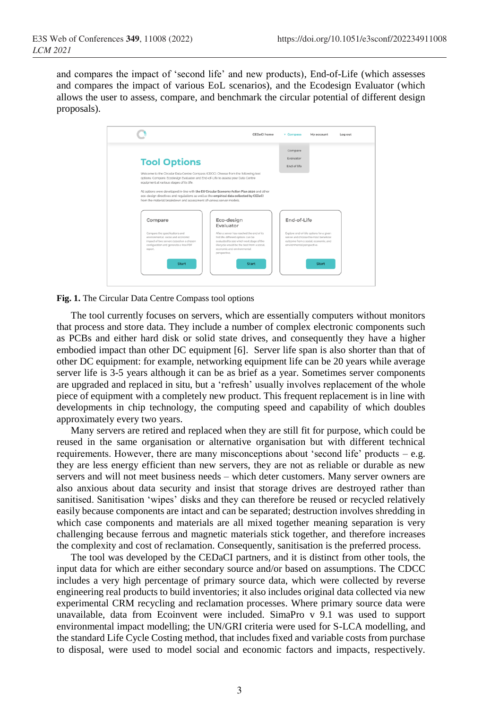and compares the impact of 'second life' and new products), End-of-Life (which assesses and compares the impact of various EoL scenarios), and the Ecodesign Evaluator (which allows the user to assess, compare, and benchmark the circular potential of different design proposals).

|                                                                                                                                                                                                                                                                                                 | CEDaCI home                                                                                                                                                                   | <b>v</b> Compass                                                                                                                                       | My account | Log out |
|-------------------------------------------------------------------------------------------------------------------------------------------------------------------------------------------------------------------------------------------------------------------------------------------------|-------------------------------------------------------------------------------------------------------------------------------------------------------------------------------|--------------------------------------------------------------------------------------------------------------------------------------------------------|------------|---------|
|                                                                                                                                                                                                                                                                                                 |                                                                                                                                                                               | Compare<br>Evaluator                                                                                                                                   |            |         |
| <b>Tool Options</b>                                                                                                                                                                                                                                                                             |                                                                                                                                                                               | End of life                                                                                                                                            |            |         |
| options: Compare, Ecodesign Evaluator and End-of-Life to assess your Data Centre<br>equipment at various stages of its life.<br>eco-design directives and regulations as well as the empirical data collected by CEDaCI<br>from the material breakdown and assessment of various server models. | All options were developed in-line with the EU Circular Economy Action Plan 2020 and other                                                                                    |                                                                                                                                                        |            |         |
| Compare                                                                                                                                                                                                                                                                                         | Eco-design<br>Evaluator                                                                                                                                                       | End-of-Life                                                                                                                                            |            |         |
| Compare the specifications and                                                                                                                                                                                                                                                                  | After a server has reached the end of its                                                                                                                                     | Explore end-of-life options for a given<br>server and choose the most beneficial<br>outcome from a social, economic, and<br>environmental perspective. |            |         |
| environmental, social and economic.<br>impact of two servers based on a chosen<br>configuration and generate a free PDF<br>roport.                                                                                                                                                              | first life, different options can be<br>evaluated to see which next stage of the<br>lifecycle would be the best from a social,<br>economic and environmental.<br>perspective. |                                                                                                                                                        |            |         |

**Fig. 1.** The Circular Data Centre Compass tool options

The tool currently focuses on servers, which are essentially computers without monitors that process and store data. They include a number of complex electronic components such as PCBs and either hard disk or solid state drives, and consequently they have a higher embodied impact than other DC equipment [6]. Server life span is also shorter than that of other DC equipment: for example, networking equipment life can be 20 years while average server life is 3-5 years although it can be as brief as a year. Sometimes server components are upgraded and replaced in situ, but a 'refresh' usually involves replacement of the whole piece of equipment with a completely new product. This frequent replacement is in line with developments in chip technology, the computing speed and capability of which doubles approximately every two years.

Many servers are retired and replaced when they are still fit for purpose, which could be reused in the same organisation or alternative organisation but with different technical requirements. However, there are many misconceptions about 'second life' products – e.g. they are less energy efficient than new servers, they are not as reliable or durable as new servers and will not meet business needs – which deter customers. Many server owners are also anxious about data security and insist that storage drives are destroyed rather than sanitised. Sanitisation 'wipes' disks and they can therefore be reused or recycled relatively easily because components are intact and can be separated; destruction involves shredding in which case components and materials are all mixed together meaning separation is very challenging because ferrous and magnetic materials stick together, and therefore increases the complexity and cost of reclamation. Consequently, sanitisation is the preferred process.

The tool was developed by the CEDaCI partners, and it is distinct from other tools, the input data for which are either secondary source and/or based on assumptions. The CDCC includes a very high percentage of primary source data, which were collected by reverse engineering real products to build inventories; it also includes original data collected via new experimental CRM recycling and reclamation processes. Where primary source data were unavailable, data from Ecoinvent were included. SimaPro v 9.1 was used to support environmental impact modelling; the UN/GRI criteria were used for S-LCA modelling, and the standard Life Cycle Costing method, that includes fixed and variable costs from purchase to disposal, were used to model social and economic factors and impacts, respectively.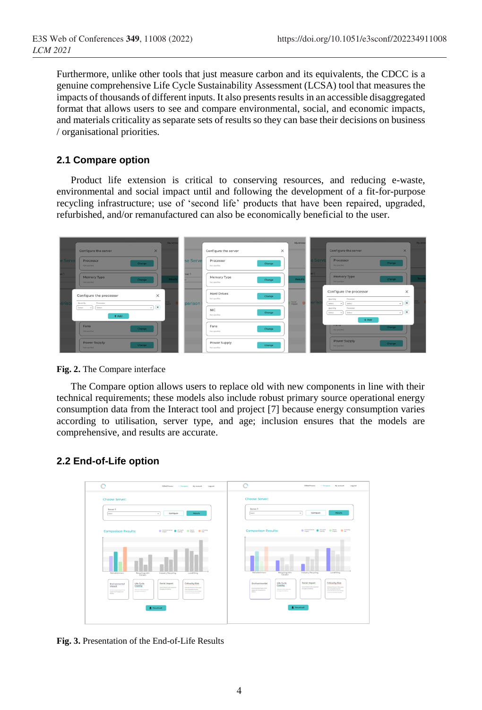Furthermore, unlike other tools that just measure carbon and its equivalents, the CDCC is a genuine comprehensive Life Cycle Sustainability Assessment (LCSA) tool that measures the impacts of thousands of different inputs. It also presents results in an accessible disaggregated format that allows users to see and compare environmental, social, and economic impacts, and materials criticality as separate sets of results so they can base their decisions on business / organisational priorities.

#### **2.1 Compare option**

Product life extension is critical to conserving resources, and reducing e-waste, environmental and social impact until and following the development of a fit-for-purpose recycling infrastructure; use of 'second life' products that have been repaired, upgraded, refurbished, and/or remanufactured can also be economically beneficial to the user.



**Fig. 2.** The Compare interface

The Compare option allows users to replace old with new components in line with their technical requirements; these models also include robust primary source operational energy consumption data from the Interact tool and project [7] because energy consumption varies according to utilisation, server type, and age; inclusion ensures that the models are comprehensive, and results are accurate.

#### **2.2 End-of-Life option**



**Fig. 3.** Presentation of the End-of-Life Results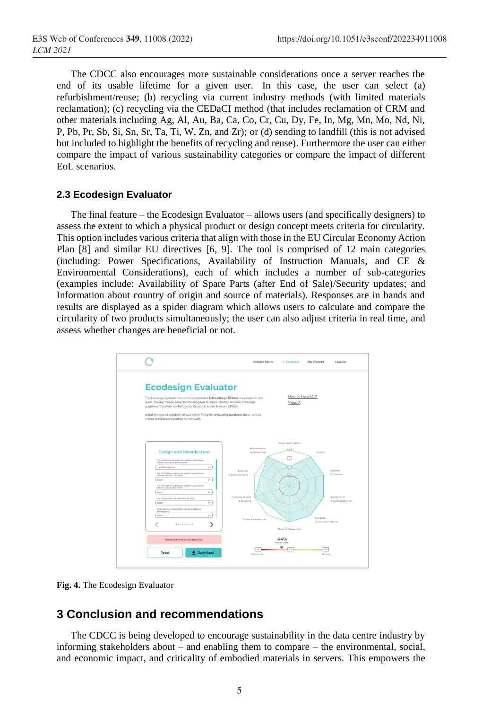The CDCC also encourages more sustainable considerations once a server reaches the end of its usable lifetime for a given user. In this case, the user can select (a) refurbishment/reuse; (b) recycling via current industry methods (with limited materials reclamation); (c) recycling via the CEDaCI method (that includes reclamation of CRM and other materials including Ag, Al, Au, Ba, Ca, Co, Cr, Cu, Dy, Fe, In, Mg, Mn, Mo, Nd, Ni, P, Pb, Pr, Sb, Si, Sn, Sr, Ta, Ti, W, Zn, and Zr); or (d) sending to landfill (this is not advised but included to highlight the benefits of recycling and reuse). Furthermore the user can either compare the impact of various sustainability categories or compare the impact of different EoL scenarios.

#### **2.3 Ecodesign Evaluator**

The final feature – the Ecodesign Evaluator – allows users (and specifically designers) to assess the extent to which a physical product or design concept meets criteria for circularity. This option includes various criteria that align with those in the EU Circular Economy Action Plan [8] and similar EU directives [6, 9]. The tool is comprised of 12 main categories (including: Power Specifications, Availability of Instruction Manuals, and CE & Environmental Considerations), each of which includes a number of sub-categories (examples include: Availability of Spare Parts (after End of Sale)/Security updates; and Information about country of origin and source of materials). Responses are in bands and results are displayed as a spider diagram which allows users to calculate and compare the circularity of two products simultaneously; the user can also adjust criteria in real time, and assess whether changes are beneficial or not.



**Fig. 4.** The Ecodesign Evaluator

### **3 Conclusion and recommendations**

The CDCC is being developed to encourage sustainability in the data centre industry by informing stakeholders about – and enabling them to compare – the environmental, social, and economic impact, and criticality of embodied materials in servers. This empowers the